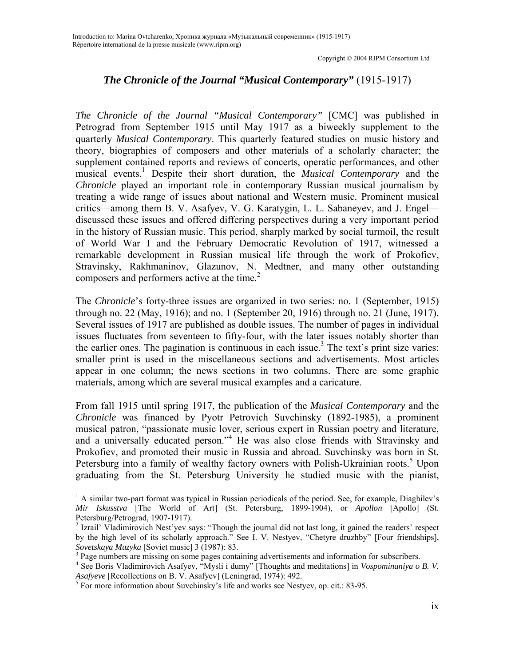## *The Chronicle of the Journal "Musical Contemporary"* (1915-1917)

*The Chronicle of the Journal "Musical Contemporary"* [CMC] was published in Petrograd from September 1915 until May 1917 as a biweekly supplement to the quarterly *Musical Contemporary*. This quarterly featured studies on music history and theory, biographies of composers and other materials of a scholarly character; the supplement contained reports and reviews of concerts, operatic performances, and other musical events.1 Despite their short duration, the *Musical Contemporary* and the *Chronicle* played an important role in contemporary Russian musical journalism by treating a wide range of issues about national and Western music. Prominent musical critics—among them B. V. Asafyev, V. G. Karatygin, L. L. Sabaneyev, and J. Engel discussed these issues and offered differing perspectives during a very important period in the history of Russian music. This period, sharply marked by social turmoil, the result of World War I and the February Democratic Revolution of 1917, witnessed a remarkable development in Russian musical life through the work of Prokofiev, Stravinsky, Rakhmaninov, Glazunov, N. Medtner, and many other outstanding composers and performers active at the time. $2$ 

The *Chronicle*'s forty-three issues are organized in two series: no. 1 (September, 1915) through no. 22 (May, 1916); and no. 1 (September 20, 1916) through no. 21 (June, 1917). Several issues of 1917 are published as double issues. The number of pages in individual issues fluctuates from seventeen to fifty-four, with the later issues notably shorter than the earlier ones. The pagination is continuous in each issue.<sup>3</sup> The text's print size varies: smaller print is used in the miscellaneous sections and advertisements. Most articles appear in one column; the news sections in two columns. There are some graphic materials, among which are several musical examples and a caricature.

From fall 1915 until spring 1917, the publication of the *Musical Contemporary* and the *Chronicle* was financed by Pyotr Petrovich Suvchinsky (1892-1985), a prominent musical patron, "passionate music lover, serious expert in Russian poetry and literature, and a universally educated person."<sup>4</sup> He was also close friends with Stravinsky and Prokofiev, and promoted their music in Russia and abroad. Suvchinsky was born in St. Petersburg into a family of wealthy factory owners with Polish-Ukrainian roots.<sup>5</sup> Upon graduating from the St. Petersburg University he studied music with the pianist,

<sup>&</sup>lt;sup>1</sup> A similar two-part format was typical in Russian periodicals of the period. See, for example, Diaghilev's *Mir Iskusstva* [The World of Art] (St. Petersburg, 1899-1904), or *Apollon* [Apollo] (St. Petersburg/Petrograd, 1907-1917).

<sup>&</sup>lt;sup>2</sup> Izrail' Vladimirovich Nest'yev says: "Though the journal did not last long, it gained the readers' respect by the high level of its scholarly approach." See I. V. Nestyev, "Chetyre druzhby" [Four friendships], *Sovetskaya Muzyka* [Soviet music] 3 (1987): 83.

<sup>&</sup>lt;sup>3</sup> Page numbers are missing on some pages containing advertisements and information for subscribers.

<sup>4</sup> See Boris Vladimirovich Asafyev, "Mysli i dumy" [Thoughts and meditations] in *Vospominaniya o B. V. Asafyeve* [Recollections on B. V. Asafyev] (Leningrad, 1974): 492. 5

For more information about Suvchinsky's life and works see Nestyev, op. cit*.*: 83-95.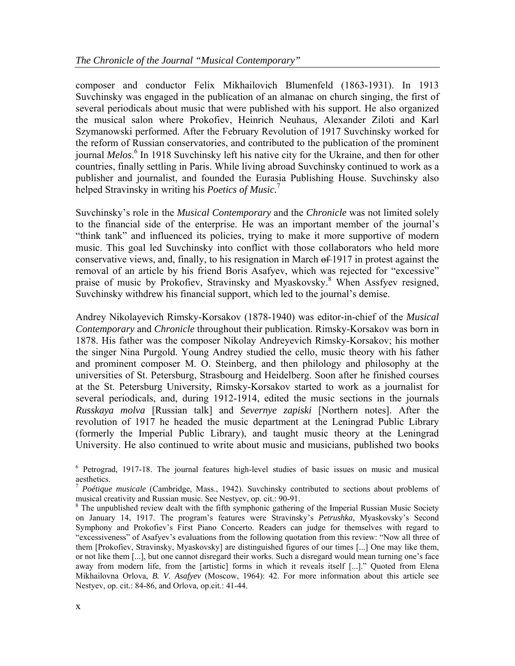composer and conductor Felix Mikhailovich Blumenfeld (1863-1931). In 1913 Suvchinsky was engaged in the publication of an almanac on church singing, the first of several periodicals about music that were published with his support. He also organized the musical salon where Prokofiev, Heinrich Neuhaus, Alexander Ziloti and Karl Szymanowski performed. After the February Revolution of 1917 Suvchinsky worked for the reform of Russian conservatories, and contributed to the publication of the prominent journal *Melos*. 6 In 1918 Suvchinsky left his native city for the Ukraine, and then for other countries, finally settling in Paris. While living abroad Suvchinsky continued to work as a publisher and journalist, and founded the Eurasia Publishing House. Suvchinsky also helped Stravinsky in writing his *Poetics of Music.*<sup>7</sup>

Suvchinsky's role in the *Musical Contemporary* and the *Chronicle* was not limited solely to the financial side of the enterprise. He was an important member of the journal's "think tank" and influenced its policies, trying to make it more supportive of modern music. This goal led Suvchinsky into conflict with those collaborators who held more conservative views, and, finally, to his resignation in March of 1917 in protest against the removal of an article by his friend Boris Asafyev, which was rejected for "excessive" praise of music by Prokofiev, Stravinsky and Myaskovsky.<sup>8</sup> When Assfyev resigned, Suvchinsky withdrew his financial support, which led to the journal's demise.

Andrey Nikolayevich Rimsky-Korsakov (1878-1940) was editor-in-chief of the *Musical Contemporary* and *Chronicle* throughout their publication. Rimsky-Korsakov was born in 1878. His father was the composer Nikolay Andreyevich Rimsky-Korsakov; his mother the singer Nina Purgold. Young Andrey studied the cello, music theory with his father and prominent composer M. O. Steinberg, and then philology and philosophy at the universities of St. Petersburg, Strasbourg and Heidelberg. Soon after he finished courses at the St. Petersburg University, Rimsky-Korsakov started to work as a journalist for several periodicals, and, during 1912-1914, edited the music sections in the journals *Russkaya molva* [Russian talk] and *Severnye zapiski* [Northern notes]. After the revolution of 1917 he headed the music department at the Leningrad Public Library (formerly the Imperial Public Library), and taught music theory at the Leningrad University. He also continued to write about music and musicians, published two books

<sup>&</sup>lt;sup>6</sup> Petrograd, 1917-18. The journal features high-level studies of basic issues on music and musical aesthetics.

<sup>7</sup>  *Poétique musicale* (Cambridge, Mass., 1942). Suvchinsky contributed to sections about problems of musical creativity and Russian music. See Nestyev, op. cit.: 90-91. 8

<sup>&</sup>lt;sup>8</sup> The unpublished review dealt with the fifth symphonic gathering of the Imperial Russian Music Society on January 14, 1917. The program's features were Stravinsky's *Petrushka*, Myaskovsky's Second Symphony and Prokofiev's First Piano Concerto. Readers can judge for themselves with regard to "excessiveness" of Asafyev's evaluations from the following quotation from this review: "Now all three of them [Prokofiev, Stravinsky, Myaskovsky] are distinguished figures of our times [...] One may like them, or not like them [...], but one cannot disregard their works. Such a disregard would mean turning one's face away from modern life, from the [artistic] forms in which it reveals itself [...]." Quoted from Elena Mikhailovna Orlova, *B. V. Asafyev* (Moscow, 1964): 42. For more information about this article see Nestyev, op. cit*.*: 84-86, and Orlova, op.cit.: 41-44.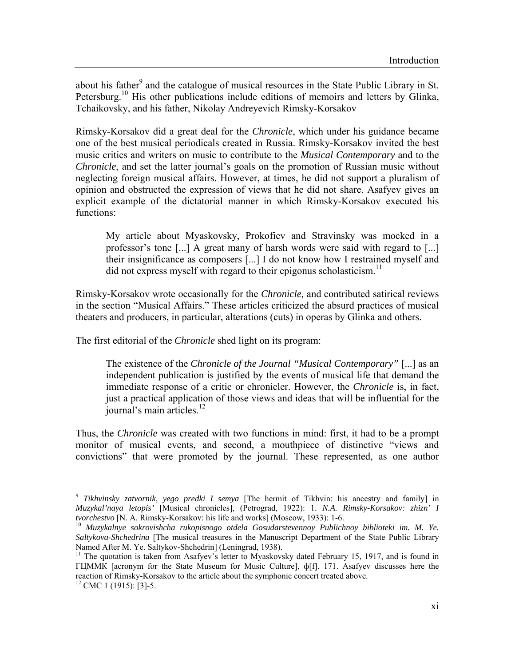about his father<sup>9</sup> and the catalogue of musical resources in the State Public Library in St. Petersburg.<sup>10</sup> His other publications include editions of memoirs and letters by Glinka, Tchaikovsky, and his father, Nikolay Andreyevich Rimsky-Korsakov

Rimsky-Korsakov did a great deal for the *Chronicle*, which under his guidance became one of the best musical periodicals created in Russia. Rimsky-Korsakov invited the best music critics and writers on music to contribute to the *Musical Contemporary* and to the *Chronicle*, and set the latter journal's goals on the promotion of Russian music without neglecting foreign musical affairs. However, at times, he did not support a pluralism of opinion and obstructed the expression of views that he did not share. Asafyev gives an explicit example of the dictatorial manner in which Rimsky-Korsakov executed his functions:

My article about Myaskovsky, Prokofiev and Stravinsky was mocked in a professor's tone [...] A great many of harsh words were said with regard to [...] their insignificance as composers [...] I do not know how I restrained myself and did not express myself with regard to their epigonus scholasticism.<sup>11</sup>

Rimsky-Korsakov wrote occasionally for the *Chronicle,* and contributed satirical reviews in the section "Musical Affairs." These articles criticized the absurd practices of musical theaters and producers, in particular, alterations (cuts) in operas by Glinka and others.

The first editorial of the *Chronicle* shed light on its program:

The existence of the *Chronicle of the Journal "Musical Contemporary"* [...] as an independent publication is justified by the events of musical life that demand the immediate response of a critic or chronicler. However, the *Chronicle* is, in fact, just a practical application of those views and ideas that will be influential for the journal's main articles. $^{12}$ 

Thus, the *Chronicle* was created with two functions in mind: first, it had to be a prompt monitor of musical events, and second, a mouthpiece of distinctive "views and convictions" that were promoted by the journal. These represented, as one author

<sup>9</sup>  *Tikhvinsky zatvornik, yego predki I semya* [The hermit of Tikhvin: his ancestry and family] in *Muzykal'naya letopis'* [Musical chronicles], (Petrograd, 1922): 1. *N.A. Rimsky-Korsakov: zhizn' I tvorchestvo* [N. A. Rimsky-Korsakov: his life and works] (Moscow, 1933): 1-6. 10 *Muzykalnye sokrovishcha rukopisnogo otdela Gosudarstevennoy Publichnoy biblioteki im. M. Ye.* 

*Saltykova-Shchedrina* [The musical treasures in the Manuscript Department of the State Public Library Named After M. Ye. Saltykov-Shchedrin] (Leningrad, 1938).

<sup>&</sup>lt;sup>11</sup> The quotation is taken from Asafyev's letter to Myaskovsky dated February 15, 1917, and is found in ГЦММК [acronym for the State Museum for Music Culture], ф[f]. 171. Asafyev discusses here the reaction of Rimsky-Korsakov to the article about the symphonic concert treated above. 12 CMC 1 (1915): [3]-5.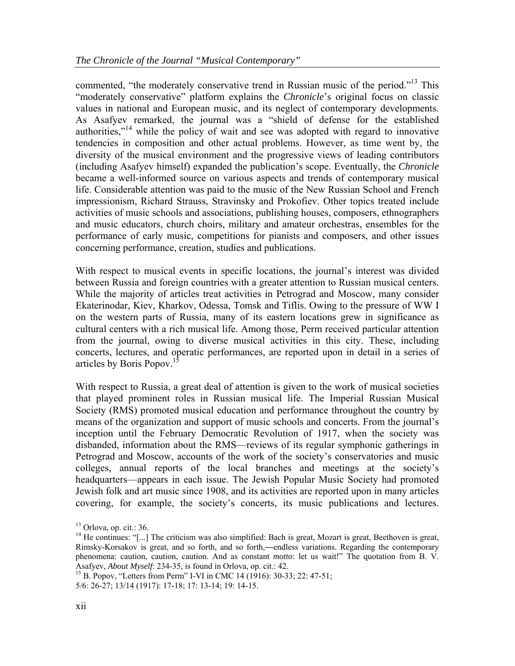commented, "the moderately conservative trend in Russian music of the period."<sup>13</sup> This "moderately conservative" platform explains the *Chronicle*'s original focus on classic values in national and European music, and its neglect of contemporary developments. As Asafyev remarked, the journal was a "shield of defense for the established authorities,"<sup>14</sup> while the policy of wait and see was adopted with regard to innovative tendencies in composition and other actual problems. However, as time went by, the diversity of the musical environment and the progressive views of leading contributors (including Asafyev himself) expanded the publication's scope. Eventually, the *Chronicle* became a well-informed source on various aspects and trends of contemporary musical life. Considerable attention was paid to the music of the New Russian School and French impressionism, Richard Strauss, Stravinsky and Prokofiev. Other topics treated include activities of music schools and associations, publishing houses, composers, ethnographers and music educators, church choirs, military and amateur orchestras, ensembles for the performance of early music, competitions for pianists and composers, and other issues concerning performance, creation, studies and publications.

With respect to musical events in specific locations, the journal's interest was divided between Russia and foreign countries with a greater attention to Russian musical centers. While the majority of articles treat activities in Petrograd and Moscow, many consider Ekaterinodar, Kiev, Kharkov, Odessa, Tomsk and Tiflis. Owing to the pressure of WW I on the western parts of Russia, many of its eastern locations grew in significance as cultural centers with a rich musical life. Among those, Perm received particular attention from the journal, owing to diverse musical activities in this city. These, including concerts, lectures, and operatic performances, are reported upon in detail in a series of articles by Boris Popov.<sup>1</sup>

With respect to Russia, a great deal of attention is given to the work of musical societies that played prominent roles in Russian musical life. The Imperial Russian Musical Society (RMS) promoted musical education and performance throughout the country by means of the organization and support of music schools and concerts. From the journal's inception until the February Democratic Revolution of 1917, when the society was disbanded, information about the RMS—reviews of its regular symphonic gatherings in Petrograd and Moscow, accounts of the work of the society's conservatories and music colleges, annual reports of the local branches and meetings at the society's headquarters—appears in each issue. The Jewish Popular Music Society had promoted Jewish folk and art music since 1908, and its activities are reported upon in many articles covering, for example, the society's concerts, its music publications and lectures.

 $13$  Orlova, op. cit.: 36.

<sup>&</sup>lt;sup>14</sup> He continues: "[...] The criticism was also simplified: Bach is great, Mozart is great, Beethoven is great, Rimsky-Korsakov is great, and so forth, and so forth,—endless variations. Regarding the contemporary phenomena: caution, caution, caution. And as constant *motto*: let us wait!" The quotation from B. V. Asafyev, *About Myself*: 234-35, is found in Orlova, op. cit.: 42.<br><sup>15</sup> B. Popov, "Letters from Perm" I-VI in CMC 14 (1916): 30-33; 22: 47-51;

<sup>5/6: 26-27; 13/14 (1917): 17-18; 17: 13-14; 19: 14-15.</sup>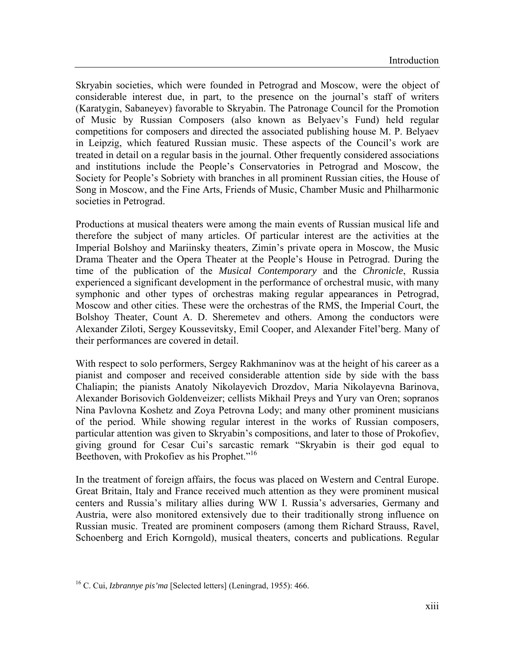Skryabin societies, which were founded in Petrograd and Moscow, were the object of considerable interest due, in part, to the presence on the journal's staff of writers (Karatygin, Sabaneyev) favorable to Skryabin. The Patronage Council for the Promotion of Music by Russian Composers (also known as Belyaev's Fund) held regular competitions for composers and directed the associated publishing house M. P. Belyaev in Leipzig, which featured Russian music. These aspects of the Council's work are treated in detail on a regular basis in the journal. Other frequently considered associations and institutions include the People's Conservatories in Petrograd and Moscow, the Society for People's Sobriety with branches in all prominent Russian cities, the House of Song in Moscow, and the Fine Arts, Friends of Music, Chamber Music and Philharmonic societies in Petrograd.

Productions at musical theaters were among the main events of Russian musical life and therefore the subject of many articles. Of particular interest are the activities at the Imperial Bolshoy and Mariinsky theaters, Zimin's private opera in Moscow, the Music Drama Theater and the Opera Theater at the People's House in Petrograd. During the time of the publication of the *Musical Contemporary* and the *Chronicle*, Russia experienced a significant development in the performance of orchestral music, with many symphonic and other types of orchestras making regular appearances in Petrograd, Moscow and other cities. These were the orchestras of the RMS, the Imperial Court, the Bolshoy Theater, Count A. D. Sheremetev and others. Among the conductors were Alexander Ziloti, Sergey Koussevitsky, Emil Cooper, and Alexander Fitel'berg. Many of their performances are covered in detail.

With respect to solo performers, Sergey Rakhmaninov was at the height of his career as a pianist and composer and received considerable attention side by side with the bass Chaliapin; the pianists Anatoly Nikolayevich Drozdov, Maria Nikolayevna Barinova, Alexander Borisovich Goldenveizer; cellists Mikhail Preys and Yury van Oren; sopranos Nina Pavlovna Koshetz and Zoya Petrovna Lody; and many other prominent musicians of the period. While showing regular interest in the works of Russian composers, particular attention was given to Skryabin's compositions, and later to those of Prokofiev, giving ground for Cesar Cui's sarcastic remark "Skryabin is their god equal to Beethoven, with Prokofiev as his Prophet."<sup>16</sup>

In the treatment of foreign affairs, the focus was placed on Western and Central Europe. Great Britain, Italy and France received much attention as they were prominent musical centers and Russia's military allies during WW I. Russia's adversaries, Germany and Austria, were also monitored extensively due to their traditionally strong influence on Russian music. Treated are prominent composers (among them Richard Strauss, Ravel, Schoenberg and Erich Korngold), musical theaters, concerts and publications. Regular

<sup>16</sup> C. Cui, *Izbrannye pis'ma* [Selected letters] (Leningrad, 1955): 466.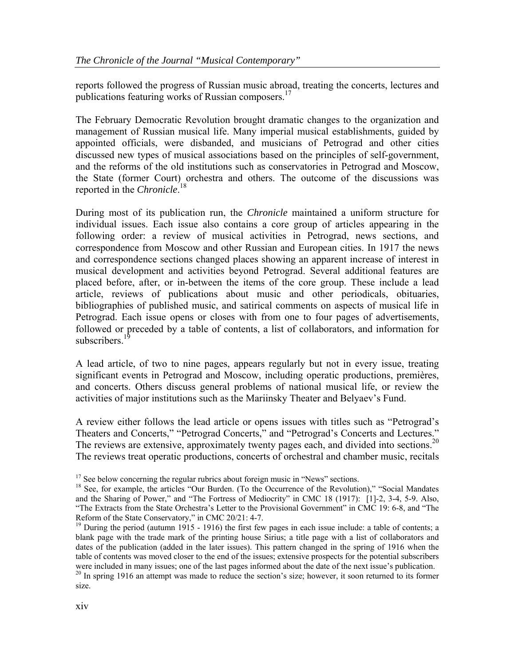reports followed the progress of Russian music abroad, treating the concerts, lectures and publications featuring works of Russian composers. $^{17}$ 

The February Democratic Revolution brought dramatic changes to the organization and management of Russian musical life. Many imperial musical establishments, guided by appointed officials, were disbanded, and musicians of Petrograd and other cities discussed new types of musical associations based on the principles of self-government, and the reforms of the old institutions such as conservatories in Petrograd and Moscow, the State (former Court) orchestra and others. The outcome of the discussions was reported in the *Chronicle*. 18

During most of its publication run, the *Chronicle* maintained a uniform structure for individual issues. Each issue also contains a core group of articles appearing in the following order: a review of musical activities in Petrograd, news sections, and correspondence from Moscow and other Russian and European cities. In 1917 the news and correspondence sections changed places showing an apparent increase of interest in musical development and activities beyond Petrograd. Several additional features are placed before, after, or in-between the items of the core group. These include a lead article, reviews of publications about music and other periodicals, obituaries, bibliographies of published music, and satirical comments on aspects of musical life in Petrograd. Each issue opens or closes with from one to four pages of advertisements, followed or preceded by a table of contents, a list of collaborators, and information for subscribers.<sup>19</sup>

A lead article, of two to nine pages, appears regularly but not in every issue, treating significant events in Petrograd and Moscow, including operatic productions, premières, and concerts. Others discuss general problems of national musical life, or review the activities of major institutions such as the Mariinsky Theater and Belyaev's Fund.

A review either follows the lead article or opens issues with titles such as "Petrograd's Theaters and Concerts," "Petrograd Concerts," and "Petrograd's Concerts and Lectures." The reviews are extensive, approximately twenty pages each, and divided into sections.<sup>20</sup> The reviews treat operatic productions, concerts of orchestral and chamber music, recitals

<sup>&</sup>lt;sup>17</sup> See below concerning the regular rubrics about foreign music in "News" sections.<br><sup>18</sup> See, for example, the articles "Our Burden. (To the Occurrence of the Revolution)," "Social Mandates and the Sharing of Power," and "The Fortress of Mediocrity" in CMC 18 (1917): [1]-2, 3-4, 5-9. Also, "The Extracts from the State Orchestra's Letter to the Provisional Government" in CMC 19: 6-8, and "The Reform of the State Conservatory," in CMC 20/21: 4-7.<br><sup>19</sup> During the period (autumn 1915 - 1916) the first few pages in each issue include: a table of contents; a

blank page with the trade mark of the printing house Sirius; a title page with a list of collaborators and dates of the publication (added in the later issues). This pattern changed in the spring of 1916 when the table of contents was moved closer to the end of the issues; extensive prospects for the potential subscribers were included in many issues; one of the last pages informed about the date of the next issue's publication.  $^{20}$  In spring 1916 an attempt was made to reduce the section's size; however, it soon returned to its former

size.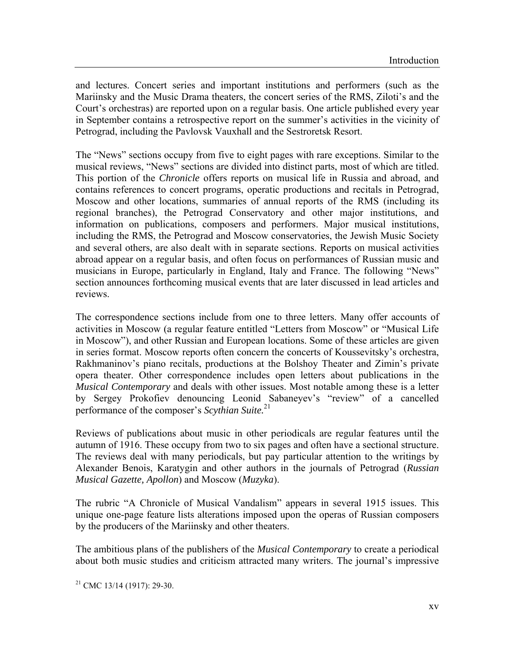and lectures. Concert series and important institutions and performers (such as the Mariinsky and the Music Drama theaters, the concert series of the RMS, Ziloti's and the Court's orchestras) are reported upon on a regular basis. One article published every year in September contains a retrospective report on the summer's activities in the vicinity of Petrograd, including the Pavlovsk Vauxhall and the Sestroretsk Resort.

The "News" sections occupy from five to eight pages with rare exceptions. Similar to the musical reviews, "News" sections are divided into distinct parts, most of which are titled. This portion of the *Chronicle* offers reports on musical life in Russia and abroad, and contains references to concert programs, operatic productions and recitals in Petrograd, Moscow and other locations, summaries of annual reports of the RMS (including its regional branches), the Petrograd Conservatory and other major institutions, and information on publications, composers and performers. Major musical institutions, including the RMS, the Petrograd and Moscow conservatories, the Jewish Music Society and several others, are also dealt with in separate sections. Reports on musical activities abroad appear on a regular basis, and often focus on performances of Russian music and musicians in Europe, particularly in England, Italy and France. The following "News" section announces forthcoming musical events that are later discussed in lead articles and reviews.

The correspondence sections include from one to three letters. Many offer accounts of activities in Moscow (a regular feature entitled "Letters from Moscow" or "Musical Life in Moscow"), and other Russian and European locations. Some of these articles are given in series format. Moscow reports often concern the concerts of Koussevitsky's orchestra, Rakhmaninov's piano recitals, productions at the Bolshoy Theater and Zimin's private opera theater. Other correspondence includes open letters about publications in the *Musical Contemporary* and deals with other issues. Most notable among these is a letter by Sergey Prokofiev denouncing Leonid Sabaneyev's "review" of a cancelled performance of the composer's *Scythian Suite.*<sup>21</sup>

Reviews of publications about music in other periodicals are regular features until the autumn of 1916. These occupy from two to six pages and often have a sectional structure. The reviews deal with many periodicals, but pay particular attention to the writings by Alexander Benois, Karatygin and other authors in the journals of Petrograd (*Russian Musical Gazette, Apollon*) and Moscow (*Muzyka*).

The rubric "A Chronicle of Musical Vandalism" appears in several 1915 issues. This unique one-page feature lists alterations imposed upon the operas of Russian composers by the producers of the Mariinsky and other theaters.

The ambitious plans of the publishers of the *Musical Contemporary* to create a periodical about both music studies and criticism attracted many writers. The journal's impressive

 $21$  CMC 13/14 (1917): 29-30.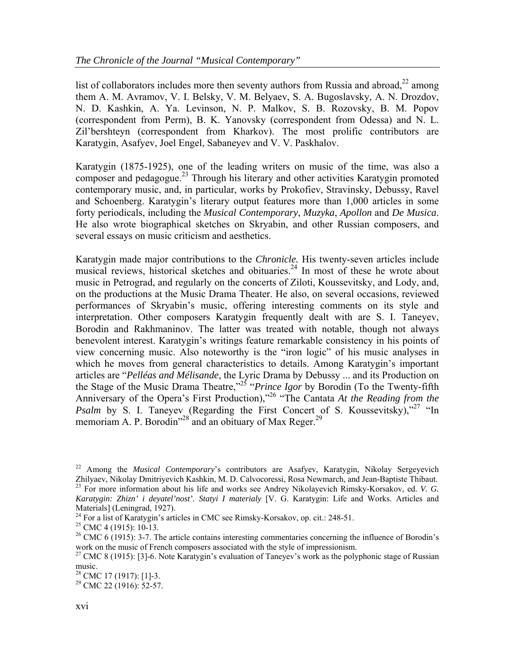list of collaborators includes more then seventy authors from Russia and abroad, $^{22}$  among them A. M. Avramov, V. I. Belsky, V. M. Belyaev, S. A. Bugoslavsky, A. N. Drozdov, N. D. Kashkin, A. Ya. Levinson, N. P. Malkov, S. B. Rozovsky, B. M. Popov (correspondent from Perm), B. K. Yanovsky (correspondent from Odessa) and N. L. Zil'bershteyn (correspondent from Kharkov). The most prolific contributors are Karatygin, Asafyev, Joel Engel, Sabaneyev and V. V. Paskhalov.

Karatygin (1875-1925), one of the leading writers on music of the time, was also a composer and pedagogue.<sup>23</sup> Through his literary and other activities Karatygin promoted contemporary music, and, in particular, works by Prokofiev, Stravinsky, Debussy, Ravel and Schoenberg. Karatygin's literary output features more than 1,000 articles in some forty periodicals, including the *Musical Contemporary*, *Muzyka*, *Apollon* and *De Musica*. He also wrote biographical sketches on Skryabin, and other Russian composers, and several essays on music criticism and aesthetics.

Karatygin made major contributions to the *Chronicle.* His twenty-seven articles include musical reviews, historical sketches and obituaries.<sup>24</sup> In most of these he wrote about music in Petrograd, and regularly on the concerts of Ziloti, Koussevitsky, and Lody, and, on the productions at the Music Drama Theater. He also, on several occasions, reviewed performances of Skryabin's music, offering interesting comments on its style and interpretation. Other composers Karatygin frequently dealt with are S. I. Taneyev, Borodin and Rakhmaninov. The latter was treated with notable, though not always benevolent interest. Karatygin's writings feature remarkable consistency in his points of view concerning music. Also noteworthy is the "iron logic" of his music analyses in which he moves from general characteristics to details. Among Karatygin's important articles are "*Pelléas and Mélisande*, the Lyric Drama by Debussy ... and its Production on the Stage of the Music Drama Theatre,"25 "*Prince Igor* by Borodin (To the Twenty-fifth Anniversary of the Opera's First Production),"26 "The Cantata *At the Reading from the Psalm* by S. I. Taneyev (Regarding the First Concert of S. Koussevitsky),<sup>27</sup> "In memoriam A. P. Borodin<sup> $28$ </sup> and an obituary of Max Reger.<sup>29</sup>

<sup>&</sup>lt;sup>22</sup> Among the *Musical Contemporary*'s contributors are Asafyev, Karatygin, Nikolay Sergeyevich Zhilyaev, Nikolay Dmitriyevich Kashkin, M. D. Calvocoressi, Rosa Newmarch, and Jean-Baptiste Thibaut. <sup>23</sup> For more information about his life and works see Andrey Nikolayevich Rimsky-Korsakov, ed. *V. G. Karatygin: Zhizn' i deyatel'nost'. Statyi I materialy* [V. G. Karatygin: Life and Works. Articles and Materials] (Leningrad, 1927).<br><sup>24</sup> For a list of Karatygin's articles in CMC see Rimsky-Korsakov, op. cit.: 248-51.

<sup>&</sup>lt;sup>25</sup> CMC 4 (1915): 10-13.<br><sup>26</sup> CMC 6 (1915): 3-7. The article contains interesting commentaries concerning the influence of Borodin's work on the music of French composers associated with the style of impressionism.<br><sup>27</sup> CMC 8 (1915): [3]-6. Note Karatygin's evaluation of Taneyev's work as the polyphonic stage of Russian

music.

 $28$  CMC 17 (1917): [1]-3.

<sup>&</sup>lt;sup>29</sup> CMC 22 (1916): 52-57.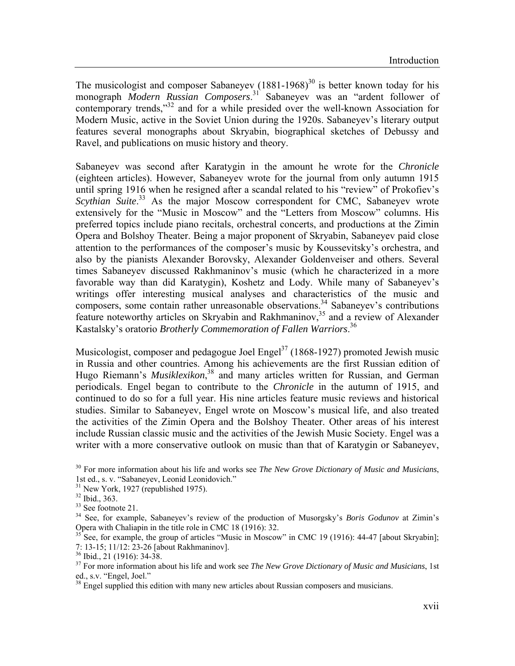The musicologist and composer Sabaneyev  $(1881-1968)^{30}$  is better known today for his monograph *Modern Russian Composers*. 31 Sabaneyev was an "ardent follower of contemporary trends,"<sup>32</sup> and for a while presided over the well-known Association for Modern Music, active in the Soviet Union during the 1920s. Sabaneyev's literary output features several monographs about Skryabin, biographical sketches of Debussy and Ravel, and publications on music history and theory.

Sabaneyev was second after Karatygin in the amount he wrote for the *Chronicle* (eighteen articles). However, Sabaneyev wrote for the journal from only autumn 1915 until spring 1916 when he resigned after a scandal related to his "review" of Prokofiev's Scythian Suite.<sup>33</sup> As the major Moscow correspondent for CMC, Sabaneyev wrote extensively for the "Music in Moscow" and the "Letters from Moscow" columns. His preferred topics include piano recitals, orchestral concerts, and productions at the Zimin Opera and Bolshoy Theater. Being a major proponent of Skryabin, Sabaneyev paid close attention to the performances of the composer's music by Koussevitsky's orchestra, and also by the pianists Alexander Borovsky, Alexander Goldenveiser and others. Several times Sabaneyev discussed Rakhmaninov's music (which he characterized in a more favorable way than did Karatygin), Koshetz and Lody. While many of Sabaneyev's writings offer interesting musical analyses and characteristics of the music and composers, some contain rather unreasonable observations.<sup>34</sup> Sabaneyev's contributions feature noteworthy articles on Skryabin and Rakhmaninov,<sup>35</sup> and a review of Alexander Kastalsky's oratorio *Brotherly Commemoration of Fallen Warriors*. 36

Musicologist, composer and pedagogue Joel Engel<sup>37</sup> (1868-1927) promoted Jewish music in Russia and other countries. Among his achievements are the first Russian edition of Hugo Riemann's *Musiklexikon*, 38 and many articles written for Russian, and German periodicals. Engel began to contribute to the *Chronicle* in the autumn of 1915, and continued to do so for a full year. His nine articles feature music reviews and historical studies. Similar to Sabaneyev, Engel wrote on Moscow's musical life, and also treated the activities of the Zimin Opera and the Bolshoy Theater. Other areas of his interest include Russian classic music and the activities of the Jewish Music Society. Engel was a writer with a more conservative outlook on music than that of Karatygin or Sabaneyev,

<sup>35</sup> See, for example, the group of articles "Music in Moscow" in CMC 19 (1916): 44-47 [about Skryabin]; 7: 13-15; 11/12: 23-26 [about Rakhmaninov].

36 Ibid., 21 (1916): 34-38.

<sup>30</sup> For more information about his life and works see *The New Grove Dictionary of Music and Musicians*, 1st ed., s. v. "Sabaneyev, Leonid Leonidovich." 31 New York, 1927 (republished 1975).

<sup>32</sup> Ibid., 363.

<sup>33</sup> See footnote 21.

<sup>34</sup> See, for example, Sabaneyev's review of the production of Musorgsky's *Boris Godunov* at Zimin's Opera with Chaliapin in the title role in CMC 18 (1916): 32.

<sup>37</sup> For more information about his life and work see *The New Grove Dictionary of Music and Musicians*, 1st ed., s.v. "Engel, Joel."

 $38$  Engel supplied this edition with many new articles about Russian composers and musicians.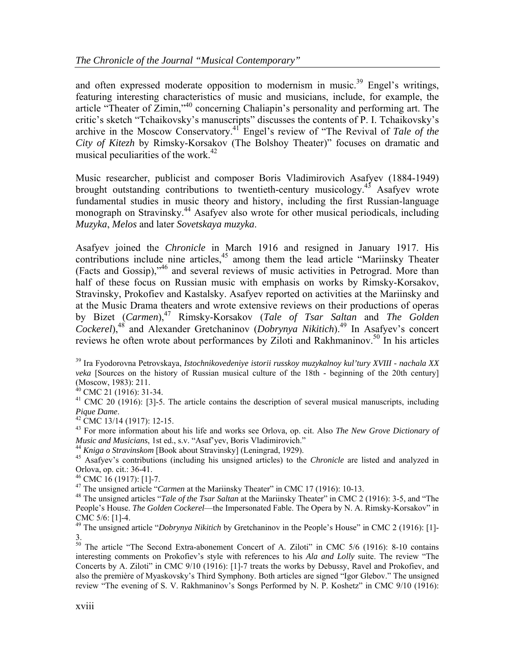and often expressed moderate opposition to modernism in music.<sup>39</sup> Engel's writings, featuring interesting characteristics of music and musicians, include, for example, the article "Theater of Zimin,"<sup>40</sup> concerning Chaliapin's personality and performing art. The critic's sketch "Tchaikovsky's manuscripts" discusses the contents of P. I. Tchaikovsky's archive in the Moscow Conservatory.41 Engel's review of "The Revival of *Tale of the City of Kitezh* by Rimsky-Korsakov (The Bolshoy Theater)" focuses on dramatic and musical peculiarities of the work. $42$ 

Music researcher, publicist and composer Boris Vladimirovich Asafyev (1884-1949) brought outstanding contributions to twentieth-century musicology.<sup>43</sup> Asafyev wrote fundamental studies in music theory and history, including the first Russian-language monograph on Stravinsky.44 Asafyev also wrote for other musical periodicals, including *Muzyka*, *Melos* and later *Sovetskaya muzyka*.

Asafyev joined the *Chronicle* in March 1916 and resigned in January 1917. His contributions include nine articles,<sup>45</sup> among them the lead article "Mariinsky Theater (Facts and Gossip),"46 and several reviews of music activities in Petrograd. More than half of these focus on Russian music with emphasis on works by Rimsky-Korsakov, Stravinsky, Prokofiev and Kastalsky. Asafyev reported on activities at the Mariinsky and at the Music Drama theaters and wrote extensive reviews on their productions of operas by Bizet (*Carmen*),47 Rimsky-Korsakov (*Tale of Tsar Saltan* and *The Golden Cockerel*),48 and Alexander Gretchaninov (*Dobrynya Nikitich*).49 In Asafyev's concert reviews he often wrote about performances by Ziloti and Rakhmaninov.<sup>50</sup> In his articles

39 Ira Fyodorovna Petrovskaya, *Istochnikovedeniye istorii russkoy muzykalnoy kul'tury XVIII - nachala XX veka* [Sources on the history of Russian musical culture of the 18th - beginning of the 20th century] (Moscow, 1983): 211.<br><sup>40</sup> CMC 21 (1916): 31-34.

 $41$  CMC 20 (1916): [3]-5. The article contains the description of several musical manuscripts, including *Pique Dame.*<br><sup>42</sup> CMC 13/14 (1917): 12-15.

<sup>43</sup> For more information about his life and works see Orlova, op. cit. Also *The New Grove Dictionary of Music and Musicians*, 1st ed., s.v. "Asaf'yev, Boris Vladimirovich."

<sup>44</sup> Kniga o Stravinskom [Book about Stravinsky] (Leningrad, 1929).<br><sup>45</sup> Asafyev's contributions (including his unsigned articles) to the *Chronicle* are listed and analyzed in Orlova, op. cit.: 36-41.

<sup>46</sup> CMC 16 (1917): [1]-7.<br><sup>47</sup> The unsigned article "*Carmen* at the Mariinsky Theater" in CMC 17 (1916): 10-13.

<sup>48</sup> The unsigned articles "*Tale of the Tsar Saltan* at the Mariinsky Theater" in CMC 2 (1916): 3-5, and "The People's House. *The Golden Cockerel*—the Impersonated Fable. The Opera by N. A. Rimsky-Korsakov" in CMC 5/6: [1]-4.

<sup>49</sup> The unsigned article "*Dobrynya Nikitich* by Gretchaninov in the People's House" in CMC 2 (1916): [1]-3.

<sup>50</sup> The article "The Second Extra-abonement Concert of A. Ziloti" in CMC 5/6 (1916): 8-10 contains interesting comments on Prokofiev's style with references to his *Ala and Lolly* suite. The review "The Concerts by A. Ziloti" in CMC 9/10 (1916): [1]-7 treats the works by Debussy, Ravel and Prokofiev, and also the première of Myaskovsky's Third Symphony. Both articles are signed "Igor Glebov." The unsigned review "The evening of S. V. Rakhmaninov's Songs Performed by N. P. Koshetz" in CMC 9/10 (1916):